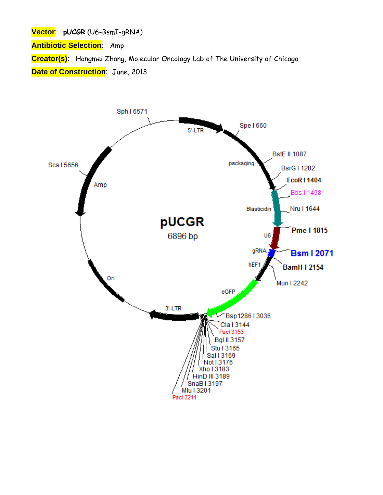**Vector**: **pUCGR** (U6-BsmI-gRNA)

**Antibiotic Selection**: Amp

**Creator(s)**: Hongmei Zhang, Molecular Oncology Lab of The University of Chicago **Date of Construction**: June, 2013

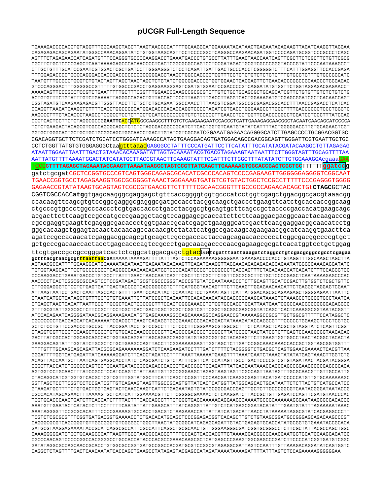## pUCGR Full-Length Sequence

TGAAAGACCCCACCTGTAGGTTTGGCAAGCTAGCTTAAGTAACGCCATTTTGCAAGGCATGGAAAATACATAACTGAGAATAGAGAAGTTAGATCAAGGTTAGGAA CAGAGAGACAGCAGAATATGGGCCAAACAGGATATCTGTGGTAAGCAGTTCCTCCCCGGCTCAGGGCCAAGAACAGATGGTCCCCAGATGCGGTCCCGCCCTCAGC AGTTTCTAGAGAACCATCAGATGTTCCAGGGTGCCCCAAGGACCTGAAATGACCCTGTGCCTTATTTGAACTAACCAATCAGTTCGCTTCTCGCTTCTGTTCGCG CGCTTCTGCTCCCCGAGCTCAATAAAAGAGCCCACAACCCCTCACTCGGCGCGCCAGTCCTCCGATAGACTGCGTCGCCCGGGTACCCGTATTCCCAATAAAGCCT TTTGGAGACCCCTGCCCAGGGACCACCGACCCCCCCGCGGGAGGTAAGCTGGCCAGCGGTCGTTTCGTGTCTCTGTCTTTTGTGCGTGTTTGTGCCGGCATC TAATGTTTGCGCCTGCGTCTGTACTAGTTAGCTAACTAGCTCTGTATCTGGCGGACCCGTGGTGGAACTGACGAGTTCTGAACACCCGGCCGAACCCTGGGAGAC GTCCCAGGGACTTTGGGGCCCGTTTTTGTGGCCCGACCTGAGGAAGGGAGTCGATGTGGAATCCGACCCCGTCAGGATATGTGGTTCTGGTAGGAGACGAGAACCT CGGTAGATGTCAAGAAGAGACGTTGGGTTACCTTCTGCTCTGCAGAATGGCCAACCTTTAACGTCGGATGGCCGCGAGACGGCACCTTTAACCGAGACCTCATCAC AAGCCCTTTGTACACCCTAAGCCTCCGCCTCCTCTTCCTCCATCCGCCCCGTCTCTCCCCCTTGAACCTCCTCGTTCGACCCCGCCTCGATCCTCCCTTTATCCAG CCCTCACTCCTTCTCTAGGCGCCGGAATTC<mark>ACC</mark>ATGCCCAAGCCTTTGTCTCAAGAAGAATCCACCCTCATTGAAAGAGCAACGGCTACAATCAACAGCATCCCCA TCTCTGAAGACTACAGCGTCGCCAGCGCAGCTCTCTCTAGCGACGGCCGCATCTTCACTGGTGTCAATGTATATCATTTTACTGGGGACCTTGTGCAGAACTCGT GGTGCTGGGCACTGCTGCTGCTGCGGCAGCTGGCAACCTGACTTGTATCGTCGCGATCGGAAATGAGAACAGGGGCATCTTGAGCCCCTGCGGACGGTGC CGACAGGTGCTTCTCGATCTGCATCCTGGGATCAAAGCCATAGTGAAGGACAGTGATGGACAGCCGACGCAGTTGGGATTCGTGAATTGCTGC CCTCTGGTTATGTGTGGGAGGGCtaa<mark>gtttaaac</mark>GAGGGCCTATTTCCCATGATTCCTTCATATTTGCATATACGATACAAGGCTGTTAGAGAG ATAATTGGAATTAATTTGACTGTAAACACAAAGATATTAGTACAAAATACGTGACGTAGAAAGTAATAATTTCTTGGGTAGTTTGCAGTTTTAA AATTATGTTTTAAAATGGACTATCATATGCTTACCGTAACTTGAAAGTATTTCGATTTCTTGGCTTTATATATCTTGGGAAAGGAcgaaaGAA TGCGGTTTTAGAGCTAGAAATAGCAAGTTAAAATAAGGCTAGTCCGTTATCAACTTGAAAAAGTGGCACCGAGTCGGTGCTTTTTTggatccq gatctgcgatCGCTCCGGTGCCCGTCAGTGGGCAGAGCGCACATCGCCCACAGTCCCCGAGAAGTTGGGGGGAGGGTCGGCAAT TGAACCGGTGCCTAGAGAAGGTGCGCGGGGTAAACTGGGAAAGTGATGTCGTGTACTGGCTCCGCCTTTTTCCCGAGGGTGGGG GAGAACCGTATATAAGTGCAGTAGTCGCCGTGAACGTTCTTTTCGCAACGGGTTTGCCGCCAGAACACAGCTGtCTAGCGCTAC CGGTCGCCACCatggtgagcaagggcgaggagctgttcaccggggtggtgcccatcctggtcgagctggacggcgacgtaaacgg ccacaagttcagcgtgtccggcgagggcgagggcgatgccacctacggcaagctgaccctgaagttcatctgcaccaccggcaag ctgcccgtgccctggcccaccctcgtgaccaccctgacctacggcgtgcagtgcttcagccgctaccccgaccacatgaagcagc acgacttcttcaagtccgccatgcccgaaggctacgtccaggagcgcaccatcttcttcaaggacgacggcaactacaagacccg cgccgaggtgaagttcgagggcgacaccctggtgaaccgcatcgagctgaagggcatcgacttcaaggaggacggcaacatcctg gggcacaagctggagtacaactacaacagccacaacgtctatatcatggccgacaagcagaagaacggcatcaaggtgaacttca agatccgccacaacatcgaggacggcagcgtgcagctcgccgaccactaccagcagaacacccccatcggcgacggccccgtgct gctgcccgacaaccactacctgagcacccagtccgccctgagcaaagaccccaacgagaagcgcgatcacatggtcctgctggag ttcgtgaccgccgccgggatcactctcggcatggacgagctgtactalegatttaattaaagatctaggcctgtcgacgcgcctcgagaa TGTGGTAGADTTTTTTTDAGGCLAGGCTAGGGCLAGAAACAAFGCDCAGATGCCAGADATGCCCOOCAGACAGTTTTTTAGAAACAATGTTTTTCCAGGGTCC CCCAAGGACCTGAAATGACCCTGTGCCTTATTTGAACTAACCAATCAGTTCGCTTCTCGCTTCTGTTCGCGCGTTCTCCCCGAGCTCAATAAAAGAGCCCAC CTTGGGAGGGTCTCCTCTGAGTGATTGACTACCCGTCAGCGGGGGTCTTTCATGGGTAACAGTTTCTTGAAGTTGGAGAACAACATTCTGAGGGTAGGAGTCGAAT GTAATCATGGTCATAGCTGTTTCCTGTGTGAAATTGTTATCCGCTCACAATTCCACACAACATACGAGCCGGAAGCATAAAGTGTAAAGCCTGGGGTGCCTAATGA GTGAGCTAACTCACATTAATTGCGTTGCGCTCACTGCCCGCTTTCCAGTCGGGAAACCTGTCGTGCAGCTGCATTAATGAATCGGCCAACGCGGGGGAGAGGCG GTTTGCGTATTGGGCGCTCTTCCGCTTCCTCGCTCACTGACTCGCTGCGCTCGGTCGTTCGGCTGCGGCGAGCGGTATCAGCTCAAAAGGCGGTAATACGGTT ATCCACAGAATCAGGGGATAACGCAGAAAGAACATGTGAGCAAAAGCCCAGCAAAAGGCCAGGAAACCGTAAAAAGGCCGCGTTGCTGCGTTTTTCCATAGGCTC CGCCCCCCTGACGAGCATCACAAAAATCGACGCTCAAGTCAGAGGTGGCGAAACCCGACAGGACTATAAAGATACCAGGCGTTTCCCCCTGGAAGCTCCCTCGTGC GCTCTCCTGTTCCGACCCTGCCGCTTACCGGATACCTGTCCGCCTTTCTCCCTTCGGGAAGCGTGGCGCTTTCTCATAGCTCACGCTGTAGGTATCTCAGTTCGGT ה האבצת המידרות המירוניות המוכל המוכל המוכל המירוניות המוכל המוכל המוכל המוכל המוכל המוכל המוכל המוכל המוכל המ GACTTATCGCCACTGGCAGCAGCCACTGGTAACAGGATTAGCAGGGGGGGTATGTAGGCGGTGCTACAGAGTTCTTGAAGTGGTGGCCTAACTACGGCTACACTA TTTGTTTGCAAGCAGCAGATTACGCGCAGAAAAAAAGGATCTCAAGAAGATCCTTTGATCTTTTCTACGGGGTCTGACGCTCAGTGGAACGAAAACTCACGTTAA ACAGTTACCAATGCTTAATCAGTGAGGCACCTATCTCAGCGATCTGTCTATTTCGTTCATCCATAGTTGCCTGACTCCCCGTCGTGTAGATAACTACGGTACGGGA GTAAGATGCTTTTCTGTGACTGGTGAGTACTCAACCAAGTCATTCTGAGAATAGTGTATGCGGCGACCGAGTTGCTCTTGCCCGGCGTCAATACGGGATAATACCG CGCCACATAGCAGAAACTTTAAAAGTGCTCATCATTGGAAAAACGTTCTTCGGGGCGAAAAACTCTCAAGGATCTTACCGCTGTTGAGATCCAGTTCGATGTAACCCAC TCGTGCACCCAACTGATCTTCAGCATCTTTTACTTTCACCAGCGTTTCTGGGTGAGCAAAAACAGGAAGGCAAAATGCCGCAAAAAAGGGAATAAGGGCGACACGG AAATGTTGAATACTCATACTCTTCCTTTTTCAATATTATTGAAGCATTTATCAGGGTTATTGTCTCATGAGCGGATACATATTTGAATGTATTTAGAAAAATAAAC AAATAGGGGTTCCGCGCACATTTCCCCGAAAAGTGCCACCTGACGTCTAAGAAACCATTATTATCATGACATTAACCTATAAAAATAGGCGTATCACGAGGCCCTT TCGTCTCGCGCGTTTCGGTGATGACGGTGAAAACCTCTGACACATGCAGCTCCCGGAGACGGTCACAGCTTGTCTGTAAGCGGATGCCGGGAGCAGACAAGCCCGT GATGCGTAAGGAGAAAATACCGCATCAGGCGCCATTCGCCATTCAGGCTGCGCAACTGTTGGGAAGGGCGATCGGTGCGGCCTCTTCGCTATTACGCCAGCTGGC GAAAGGGGGATGTGCAAGGCGATTAAGTTGGGTAACGCCAGGGTTTTCCCAGTCACGACGTTGTAAAACGACGCGCAAGGAATGGTGCAAGGAAGAAGGATGG CGCCCAACAGTCCCCCGGCCACGGGCCTGCCACCATACCCACGCCGAAACAAGCGCTCATGAGCCCGAAGTGGCGAGCCCGATCTTCCCCATCGGTGATGTCGGC GATATAGGCGCCAGCAACCGCACCTGTGGCGCCGGTGATGCCGGCCACGATGCGTCCGGCGTAGAGGCGATTAGTCCAATTTGTTAAAGACAGGATATCAGTGGTC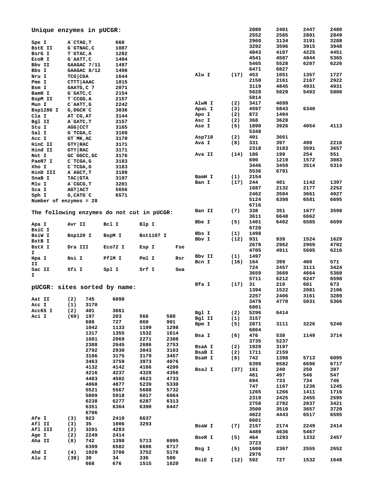|                        | Unique enzymes in pUCGR:                   |         |             |             |        |      | 2080<br>2552 | 2401<br>2585 | 2447<br>2801 | 2480<br>2849 |
|------------------------|--------------------------------------------|---------|-------------|-------------|--------|------|--------------|--------------|--------------|--------------|
| Spe I                  | A`CTAG, T                                  | 660     |             |             |        |      | 2960         | 3134         | 3191         | 3288         |
|                        |                                            |         |             |             |        |      | 3292         | 3596         | 3915         | 3948         |
| <b>BStE II</b>         | G`GTNAC, C                                 | 1087    |             |             |        |      | 4043         | 4107         | 4225         | 4451         |
| BsrG I                 | T`GTAC, A                                  | 1282    |             |             |        |      | 4541         | 4587         | 4844         | 5365         |
| ECOR I                 | G`AATT, C                                  | 1404    |             |             |        |      | 5465         | 5528         | 6207         | 6226         |
| Bbv II                 | GAAGAC 7/11                                | 1497    |             |             |        |      |              |              |              |              |
| Bbs I                  | GAAGAC 8/12                                | 1498    |             |             |        |      | 6471         | 6827         |              |              |
| Nru I                  | <b>TCG   CGA</b>                           | 1644    |             |             | Alw I  | (17) | 453          | 1051         | 1357         | 1727         |
| Pme I                  | CTTT   AAAC                                | 1815    |             |             |        |      | 2150         | 2161         | 2167         | 2922         |
| Bsm I                  | GAATG, C 7                                 | 2071    |             |             |        |      | 3119         | 4845         | 4931         | 4931         |
| BamH I                 | $G$ $GATC$ , $C$                           | 2154    |             |             |        |      | 5028         | 5029         | 5493         | 5808         |
| BspM II                | T CCGG, A                                  | 2157    |             |             |        |      | 5814         |              |              |              |
| Mun I                  | $C$ `AATT, $G$                             | 2242    |             |             | AlwN I | (2)  | 3417         | 4699         |              |              |
|                        |                                            | 3036    |             |             | ApaL I | (3)  | 4597         | 5843         | 6340         |              |
| Bsp1286 I              | G, DGCH C                                  |         |             |             | Apo I  | (2)  | 872          | 1404         |              |              |
| Cla I                  | AT`CG, AT                                  | 3144    |             |             | Asc I  | (2)  | 368          | 3628         |              |              |
| Bgl II                 | A GATC, T                                  | 3157    |             |             | Ase I  | (5)  | 1890         | 3926         | 4054         | 4113         |
| Stu I                  | $AGG$ $CCT$                                | 3165    |             |             |        |      |              |              |              |              |
| Sal I                  | G`TCGA, C                                  | 3169    |             |             |        |      | 5348         |              |              |              |
| Acc I                  | GT MK, AC                                  | 3170    |             |             | Asp718 | (2)  | 401          | 3661         |              |              |
| HinC II                | GTY   RAC                                  | 3171    |             |             | Ava I  | (8)  | 331          | 397          | 498          | 2216         |
| Hind II                | <b>GTY   RAC</b>                           | 3171    |             |             |        |      | 2318         | 3183         | 3591         | 3657         |
| Not I                  | GC GGCC, GC                                | 3176    |             |             | Ava II | (14) | 186          | 199          | 254          | 551          |
| PaeR7 I                | $C$ TCGA, G                                | 3183    |             |             |        |      | 690          | 1219         | 1572         | 3083         |
| Xho I                  | $C$ TCGA, G                                | 3183    |             |             |        |      | 3446         | 3459         | 3514         | 5314         |
|                        |                                            |         |             |             |        |      | 5536         | 6791         |              |              |
| HinD III               | A`AGCT, T                                  | 3189    |             |             | BamH I | (1)  | 2154         |              |              |              |
| SnaB I                 | <b>TAC GTA</b>                             | 3197    |             |             | Ban I  | (17) | 244          | 401          | 1142         | 1397         |
| Mlu I                  | A CGCG, T                                  | 3201    |             |             |        |      |              |              |              |              |
| Sca I                  | AGT ACT                                    | 5656    |             |             |        |      | 1687         | 2132         | 2177         | 2252         |
| Sph I                  | $G, CATG$ $C$                              | 6571    |             |             |        |      | 2462         | 3504         | 3661         | 4027         |
| Number of enzymes = 28 |                                            |         |             |             |        |      | 5124         | 6398         | 6581         | 6695         |
|                        |                                            |         |             |             |        |      | 6716         |              |              |              |
|                        | The following enzymes do not cut in pUCGR: |         |             |             | Ban II | (7)  | 338          | 351          | 1677         | 3598         |
|                        |                                            |         |             |             |        |      | 3611         | 6648         | 6662         |              |
|                        |                                            |         |             |             | Bbe I  | (5)  | 1401         | 6402         | 6585         | 6699         |
| Apa I                  | Avr II                                     | Bcl I   | Blp I       |             |        |      | 6720         |              |              |              |
| BsiC I                 |                                            |         |             |             | Bbs I  | (1)  | 1498         |              |              |              |
| BsiW I                 | Bsp120 I                                   | BspM I  | Bst1107 I   |             | Bbv I  | (12) | 931          | 939          | 1524         | 1629         |
| BstB I                 |                                            |         |             |             |        |      | 2678         | 2962         | 2969         | 4702         |
| BstX I                 | Dra III                                    | Eco72 I | Esp I       | Fse         |        |      |              |              |              |              |
| I.                     |                                            |         |             |             |        |      | 4705         | 4911         | 5605         | 6216         |
| Hpa I                  | Nsi I                                      | PflM I  | Pml I       | Rsr         | Bbv II | (1)  | 1497         |              |              |              |
| ΙI                     |                                            |         |             |             | Bcn I  | (16) | 164          | 399          | 400          | 571          |
| Sac II                 | Sfi I                                      | Spl I   | Srf I       | Swa         |        |      | 724          | 2457         | 3111         | 3424         |
| I.                     |                                            |         |             |             |        |      | 3659         | 3660         | 4664         | 5360         |
|                        |                                            |         |             |             |        |      | 5711         | 6212         | 6247         | 6598         |
|                        |                                            |         |             |             | Bfa I  | (17) | 31           | 219          | 661          | 673          |
|                        | pUCGR: sites sorted by name:               |         |             |             |        |      | 1394         | 1522         | 2081         | 2106         |
|                        |                                            |         |             |             |        |      | 2257         | 2406         | 3161         | 3289         |
| Aat II                 | 745<br>(2)                                 | 6098    |             |             |        |      | 3479         | 4778         | 5031         | 5366         |
| Acc I                  | (1)<br>3170                                |         |             |             |        |      | 6801         |              |              |              |
| Acc65 I                | 401<br>(2)                                 | 3661    |             |             | Bgl I  | (2)  | 5296         | 6414         |              |              |
| Aci I                  | (69)<br>197                                | 203     | 566         | 588         | Bgl II |      | 3157         |              |              |              |
|                        | 688                                        | 727     | 860         | 901         |        | (1)  |              |              |              |              |
|                        | 1042                                       | 1133    | 1199        | 1298        | Bpm I  | (5)  | 2871         | 3111         | 3226         | 5246         |
|                        | 1317                                       | 1355    | 1532        | 1614        |        |      | 6864         |              |              |              |
|                        | 1681                                       | 2069    | 2271        | 2308        | Bsa I  | (6)  | 476          | 530          | 1149         | 3714         |
|                        |                                            |         |             |             |        |      | 3735         | 5237         |              |              |
|                        | 2388                                       | 2645    | 2686        | 2753        | BsaA I | (2)  | 1929         | 3197         |              |              |
|                        | 2792                                       | 2930    | 3043        | 3103        | BsaB I | (2)  | 1711         | 2159         |              |              |
|                        | 3106                                       | 3175    | 3179        | 3457        | BsaH I | (8)  | 742          | 1398         | 5713         | 6095         |
|                        | 3463                                       | 3759    | 3973        | 4076        |        |      | 6399         | 6582         | 6696         | 6717         |
|                        | 4132                                       | 4142    | 4166        | 4209        | BsaJ I | (37) | 161          | 240          | 250          | 397          |
|                        | 4216                                       | 4237    | 4328        | 4356        |        |      | 461          | 497          |              | 547          |
|                        | 4483                                       | 4502    | 4623        | 4733        |        |      |              |              | 546          |              |
|                        | 4868                                       | 4877    | 5239        | 5330        |        |      | 694          | 733          | 734          | 746          |
|                        | 5521                                       | 5567    | 5688        | 5732        |        |      | 747          | 1167         | 1236         | 1245         |
|                        | 5809                                       | 5918    | 6017        | 6064        |        |      | 1265         | 1266         | 1411         | 1716         |
|                        |                                            |         |             |             |        |      | 2319         | 2425         | 2455         | 2595         |
|                        | 6238                                       | 6277    | 6287        | 6313        |        |      | 2758         | 2782         | 2837         | 3421         |
|                        | 6351                                       | 6364    | 6390        | 6447        |        |      | 3500         | 3510         | 3657         | 3720         |
|                        | 6706                                       |         |             |             |        |      | 4022         | 4443         | 6517         | 6595         |
| <b>Afe I</b>           | 923<br>(3)                                 | 2410    | 6637        |             |        |      | 6601         |              |              |              |
| Afl II                 | 35<br>(3)                                  | 1006    | 3293        |             | BsaW I | (7)  | 2157         | 2174         | 2249         | 2414         |
| Afl III                | (2)<br>3201                                | 4283    |             |             |        |      | 4489         | 4636         | 5467         |              |
| Age I                  | (2)<br>2249                                | 2414    |             |             |        |      |              |              |              |              |
| Aha II                 | (8)<br>742                                 | 1398    | 5713        | 6095        | BseR I | (5)  | 464          | 1293         | 1332         | 2457         |
|                        | 6399                                       | 6582    | 6696        | 6717        |        |      | 3723         |              |              |              |
| Ahd I                  | (4)<br>1020                                | 3706    | 3752        | 5176        | Bsg I  | (5)  | 1600         | 2367         | 2555         | 2652         |
| Alu I                  |                                            | 34      |             |             |        |      | 2976         |              |              |              |
|                        | (38)<br>30<br>668                          | 676     | 336<br>1515 | 580<br>1620 | BsiE I | (12) | 592          | 727          | 1532         | 1648         |
|                        |                                            |         |             |             |        |      |              |              |              |              |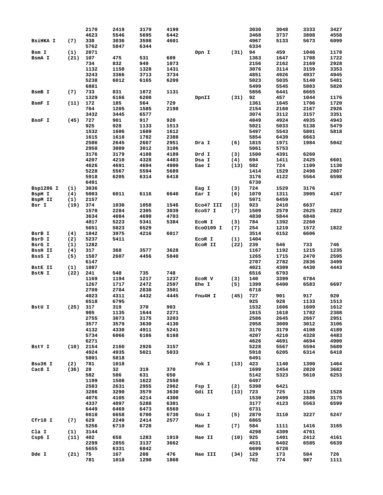|                 |            | 2170        | 2419        | 3179        | 4199        |           |      | 3030       | 3048       | 3333       | 3427        |
|-----------------|------------|-------------|-------------|-------------|-------------|-----------|------|------------|------------|------------|-------------|
|                 |            | 4623        | 5546        | 5695        | 6442        |           |      | 3468       | 3737       | 3808       | 4558        |
|                 |            |             |             |             |             |           |      |            |            |            |             |
| <b>BSiHKA I</b> | (7)        | 338         | 3036        | 3598        | 4601        |           |      | 4967       | 5133       | 5673       | 6099        |
|                 |            | 5762        | 5847        | 6344        |             |           |      | 6334       |            |            |             |
| Bsm I           | (1)        | 2071        |             |             |             | Dpn I     | (31) | 94         | 459        | 1046       | 1178        |
| BsmA I          | (21)       | 107         | 475         | 531         | 609         |           |      | 1363       | 1647       | 1708       | 1722        |
|                 |            | 734         | 832         | 949         | 1073        |           |      | 2156       | 2162       | 2169       | 2928        |
|                 |            |             |             |             |             |           |      |            |            |            |             |
|                 |            | 1132        | 1150        | 1328        | 1431        |           |      | 3076       | 3114       | 3159       | 3353        |
|                 |            | 3243        | 3366        | 3713        | 3734        |           |      | 4851       | 4926       | 4937       | 4945        |
|                 |            | 5238        | 6012        | 6165        | 6209        |           |      | 5023       | 5035       | 5140       | 5481        |
|                 |            | 6881        |             |             |             |           |      | 5499       | 5545       | 5803       | 5820        |
| BsmB I          | (7)        | 733         | 831         | 1072        | 1131        |           |      | 5856       | 6441       | 6665       |             |
|                 |            |             |             |             |             |           |      |            |            |            |             |
|                 |            | 1329        | 6166        | 6208        |             | DpnII     | (31) | 92         | 457        | 1044       | 1176        |
| BsmF I          | (11)       | 172         | 185         | 564         | 729         |           |      | 1361       | 1645       | 1706       | 1720        |
|                 |            | 764         | 1205        | 1585        | 2198        |           |      | 2154       | 2160       | 2167       | 2926        |
|                 |            | 3432        | 3445        | 6577        |             |           |      | 3074       | 3112       | 3157       | 3351        |
| BSOF I          | (45)       | 727         | 901         | 917         | 920         |           |      | 4849       | 4924       | 4935       | 4943        |
|                 |            |             |             |             |             |           |      |            |            |            |             |
|                 |            | 925         | 928         | 1133        | 1513        |           |      | 5021       | 5033       | 5138       | 5479        |
|                 |            | 1532        | 1606        | 1609        | 1612        |           |      | 5497       | 5543       | 5801       | 5818        |
|                 |            | 1615        | 1618        | 1782        | 2388        |           |      | 5854       | 6439       | 6663       |             |
|                 |            | 2586        | 2645        | 2667        | 2951        | Dra I     | (6)  | 1815       | 1971       | 1984       | 5042        |
|                 |            | 2958        | 3009        | 3012        | 3106        |           |      | 5061       | 5753       |            |             |
|                 |            |             |             |             |             |           |      |            |            |            |             |
|                 |            | 3176        | 3179        | 4108        | 4189        | Drd I     | (3)  | 1500       | 4391       | 6260       |             |
|                 |            | 4207        | 4210        | 4328        | 4483        | Dsa I     | (4)  | 694        | 1411       | 2425       | 6601        |
|                 |            | 4626        | 4691        | 4694        | 4900        | Eae I     | (13) | 582        | 724        | 1109       | 1130        |
|                 |            | 5228        | 5567        | 5594        | 5689        |           |      | 1414       | 1529       | 2498       | 2887        |
|                 |            |             |             |             |             |           |      |            |            |            |             |
|                 |            | 5918        | 6205        | 6314        | 6418        |           |      | 3176       | 4122       | 5564       | 6598        |
|                 |            | 6491        |             |             |             |           |      | 6730       |            |            |             |
| Bsp1286 I       | (1)        | 3036        |             |             |             | Eag I     | (3)  | 724        | 1529       | 3176       |             |
| BspH I          | (4)        | 5003        | 6011        | 6116        | 6640        | Ear I     | (6)  | 1070       | 1311       | 3905       | 4167        |
|                 |            |             |             |             |             |           |      |            |            |            |             |
| BspM II         | (1)        | 2157        |             |             |             |           |      | 5971       | 6459       |            |             |
| Bsr I           | (19)       | 374         | 1030        | 1058        | 1546        | Eco47 III | (3)  | 923        | 2410       | 6637       |             |
|                 |            | 1570        | 2284        | 2305        | 3039        | Eco57 I   | (7)  | 1509       | 2579       | 2625       | 2822        |
|                 |            | 3634        | 4084        | 4690        | 4703        |           |      | 4830       | 5844       | 6848       |             |
|                 |            |             |             |             |             |           |      |            |            |            |             |
|                 |            | 4817        | 5223        | 5341        | 5384        | ECON I    | (3)  | 784        | 1392       | 2260       |             |
|                 |            | 5651        | 5823        | 6529        |             | EC00109 I | (7)  | 254        | 1219       | 1572       | 1822        |
| BsrB I          | (4)        | 1042        | 3975        | 4216        | 6017        |           |      | 3514       | 6152       | 6606       |             |
| BsrD I          | (2)        | 5237        | 5411        |             |             | ECOR I    | (1)  | 1404       |            |            |             |
|                 |            |             |             |             |             |           |      |            |            |            |             |
| BsrG I          | (1)        | 1282        |             |             |             | ECOR II   | (22) | 239        | 546        | 733        | 746         |
| <b>BssH II</b>  | (4)        | 317         | 368         | 3577        | 3628        |           |      | 1167       | 1192       | 1215       | 1235        |
| BssS I          | (5)        | 1587        | 2607        | 4456        | 5840        |           |      | 1265       | 1715       | 2470       | 2595        |
|                 |            | 6147        |             |             |             |           |      | 2707       | 2782       | 2836       | 3499        |
|                 |            |             |             |             |             |           |      |            |            |            | 4443        |
| <b>BStE II</b>  | (1)        | 1087        |             |             |             |           |      | 4021       | 4309       | 4430       |             |
| BstN I          | (22)       | 241         | 548         | 735         | 748         |           |      | 6516       | 6793       |            |             |
|                 |            | 1169        | 1194        | 1217        | 1237        | ECOR V    | (3)  | 140        | 3399       | 6784       |             |
|                 |            | 1267        | 1717        | 2472        | 2597        | Ehe I     | (5)  | 1399       | 6400       | 6583       | 6697        |
|                 |            | 2709        | 2784        | 2838        | 3501        |           |      | 6718       |            |            |             |
|                 |            |             |             |             |             |           |      |            |            |            |             |
|                 |            | 4023        |             |             |             |           |      |            |            |            | 920         |
|                 |            |             | 4311        | 4432        | 4445        | Fnu4H I   | (45) | 727        | 901        | 917        |             |
| BstU I          |            | 6518        | 6795        |             |             |           |      | 925        | 928        | 1133       | 1513        |
|                 |            | 317         | 319         | 370         | 903         |           |      |            |            |            |             |
|                 | (25)       |             |             |             |             |           |      | 1532       | 1606       | 1609       | 1612        |
|                 |            | 905         | 1135        | 1644        | 2271        |           |      | 1615       | 1618       | 1782       | 2388        |
|                 |            | 2755        | 3073        | 3175        | 3203        |           |      | 2586       | 2645       | 2667       | 2951        |
|                 |            | 3577        | 3579        | 3630        | 4130        |           |      | 2958       | 3009       | 3012       | 3106        |
|                 |            | 4132        | 4330        | 4911        | 5241        |           |      | 3176       | 3179       | 4108       | 4189        |
|                 |            |             |             |             |             |           |      |            |            |            |             |
|                 |            | 5734        | 6066        | 6166        | 6168        |           |      | 4207       | 4210       | 4328       | 4483        |
|                 |            | 6271        |             |             |             |           |      | 4626       | 4691       | 4694       | 4900        |
| BstY I          |            | $(10)$ 2154 | 2160        | 2926        | 3157        |           |      | 5228       | 5567       | 5594       | 5689        |
|                 |            | 4924        | 4935        | 5021        | 5033        |           |      | 5918       | 6205       | 6314       | 6418        |
|                 |            | 5801        | 5818        |             |             |           |      | 6491       |            |            |             |
|                 |            |             |             |             |             |           |      |            |            |            |             |
| Bsu36 I         | (2)        | 781         | 1018        |             |             | Fok I     | (13) | 423        | 1140       | 1300       | 1464        |
| Cac8 I          | $(36)$ 28  |             | 32          | 319         | 370         |           |      | 1699       | 2454       | 2820       | 3682        |
|                 |            | 582         | 586         | 631         | 650         |           |      | 5142       | 5323       | 5610       | 6253        |
|                 |            | 1199        | 1508        | 1622        | 2550        |           |      | 6497       |            |            |             |
|                 |            |             |             |             |             |           |      |            |            |            |             |
|                 |            | 2583        | 2631        | 2955        | 2962        | Fsp I     | (2)  | 5398       | 6421       |            |             |
|                 |            | 3286        | 3290        | 3579        | 3630        | Gdi II    | (13) | 723        | 725        | 1129       | 1528        |
|                 |            | 4076        | 4105        | 4214        | 4300        |           |      | 1530       | 2499       | 2886       | 3175        |
|                 |            | 4337        | 4897        | 5288        | 6301        |           |      | 3177       | 4123       | 5563       | 6599        |
|                 |            |             |             |             |             |           |      |            |            |            |             |
|                 |            | 6449        | 6469        | 6473        | 6569        |           |      | 6731       |            |            |             |
|                 |            | 6610        | 6658        | 6700        | 6730        | Gsu I     | (5)  | 2870       | 3110       | 3227       | 5247        |
| Cfr10 I         | (7)        | 629         | 2249        | 2414        | 2577        |           |      | 6865       |            |            |             |
|                 |            | 5256        | 6719        | 6728        |             | Hae I     | (7)  | 584        | 1111       | 1416       | 3165        |
|                 |            |             |             |             |             |           |      |            |            |            |             |
| Cla I           | (1)        | 3144        |             |             |             |           |      | 4298       | 4309       | 4761       |             |
| $Csp6$ I        | $(11)$ 402 |             | 658         | 1283        | 1919        | Hae II    | (10) | 925        | 1401       | 2412       | 4161        |
|                 |            | 2299        | 2855        | 3137        | 3662        |           |      | 4531       | 6402       | 6585       | 6639        |
|                 |            | 5655        | 6331        | 6842        |             |           |      | 6699       | 6720       |            |             |
|                 |            |             |             |             |             |           |      |            |            |            |             |
| Dde I           | (21)       | 75<br>781   | 167<br>1018 | 208<br>1290 | 476<br>1808 | Hae III   | (34) | 129<br>762 | 173<br>774 | 584<br>987 | 726<br>1111 |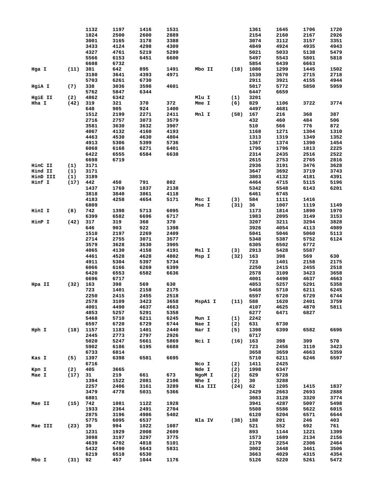|          |           | 1132         | 1197 | 1416 | 1531 |         |      | 1361 | 1645 | 1706 | 1720 |
|----------|-----------|--------------|------|------|------|---------|------|------|------|------|------|
|          |           | 1824         | 2500 | 2600 | 2889 |         |      | 2154 | 2160 | 2167 | 2926 |
|          |           | 3001         | 3165 | 3178 | 3388 |         |      | 3074 | 3112 | 3157 | 3351 |
|          |           | 3433         | 4124 | 4298 | 4309 |         |      | 4849 | 4924 | 4935 | 4943 |
|          |           | 4327         | 4761 | 5219 | 5299 |         |      | 5021 | 5033 | 5138 | 5479 |
|          |           | 5566         | 6153 | 6451 | 6600 |         |      | 5497 | 5543 | 5801 | 5818 |
|          |           |              |      |      |      |         |      |      |      |      |      |
|          |           | 6608         | 6732 |      |      |         |      | 5854 | 6439 | 6663 |      |
| Hga I    | (11)      | 381          | 642  | 895  | 1491 | Mbo II  | (18) | 1086 | 1299 | 1445 | 1502 |
|          |           | 3180         | 3641 | 4393 | 4971 |         |      | 1530 | 2670 | 2715 | 2718 |
|          |           | 5703         | 6261 | 6730 |      |         |      | 2911 | 3921 | 4155 | 4944 |
| HgiA I   | (7)       | 338          | 3036 | 3598 | 4601 |         |      | 5017 | 5772 | 5850 | 5959 |
|          |           | 5762         | 5847 | 6344 |      |         |      | 6447 | 6659 |      |      |
| HgiE II  | (2)       | 4862         | 6342 |      |      | Mlu I   | (1)  | 3201 |      |      |      |
| Hha I    | (42)      | 319          | 321  | 370  | 372  | Mme I   | (6)  | 829  | 1106 | 3722 | 3774 |
|          |           | 648          | 905  | 924  | 1400 |         |      | 4497 | 4681 |      |      |
|          |           |              |      | 2271 |      |         |      |      | 216  |      | 387  |
|          |           | 1512         | 2199 |      | 2411 | Mnl I   | (58) | 167  |      | 368  |      |
|          |           | 2716         | 2757 | 3073 | 3579 |         |      | 432  | 460  | 484  | 506  |
|          |           | 3581         | 3630 | 3632 | 3907 |         |      | 510  | 566  | 776  | 872  |
|          |           | 4067         | 4132 | 4160 | 4193 |         |      | 1168 | 1271 | 1304 | 1310 |
|          |           | 4463         | 4530 | 4630 | 4804 |         |      | 1313 | 1319 | 1349 | 1352 |
|          |           | 4913         | 5306 | 5399 | 5736 |         |      | 1367 | 1374 | 1390 | 1454 |
|          |           | 6068         | 6168 | 6271 | 6401 |         |      | 1795 | 1796 | 1813 | 2225 |
|          |           | 6422         | 6555 | 6584 | 6638 |         |      | 2314 | 2435 | 2516 | 2522 |
|          |           | 6698         | 6719 |      |      |         |      | 2615 | 2753 | 2765 | 2816 |
| HinC II  | (1)       | 3171         |      |      |      |         |      | 2936 | 3191 | 3476 | 3628 |
|          |           |              |      |      |      |         |      |      |      |      |      |
| Hind II  | (1)       | 3171         |      |      |      |         |      | 3647 | 3692 | 3719 | 3743 |
| HinD III | (1)       | 3189         |      |      |      |         |      | 3803 | 4132 | 4181 | 4391 |
| Hinf I   | (17)      | 442          | 450  | 791  | 802  |         |      | 4464 | 4715 | 5115 | 5196 |
|          |           | 1437         | 1769 | 1837 | 2138 |         |      | 5342 | 5548 | 6143 | 6201 |
|          |           | 3818         | 3840 | 3861 | 4118 |         |      | 6461 | 6745 |      |      |
|          |           | 4183         | 4258 | 4654 | 5171 | Msc I   | (3)  | 584  | 1111 | 1416 |      |
|          |           | 6809         |      |      |      | Mse I   | (31) | 36   | 1007 | 1119 | 1149 |
| HinI I   | (8)       | 742          | 1398 | 5713 | 6095 |         |      | 1173 | 1814 | 1890 | 1970 |
|          |           | 6399         | 6582 | 6696 | 6717 |         |      | 1983 | 2095 | 3149 | 3153 |
|          |           |              |      |      |      |         |      |      |      |      |      |
| HinP I   | (42)      | 317          | 319  | 368  | 370  |         |      | 3207 | 3211 | 3294 | 3828 |
|          |           | 646          | 903  | 922  | 1398 |         |      | 3926 | 4054 | 4113 | 4989 |
|          |           | 1510         | 2197 | 2269 | 2409 |         |      | 5041 | 5046 | 5060 | 5113 |
|          |           | 2714         | 2755 | 3071 | 3577 |         |      | 5348 | 5387 | 5752 | 6124 |
|          |           | 3579         | 3628 | 3630 | 3905 |         |      | 6305 | 6502 | 6772 |      |
|          |           | 4065         | 4130 | 4158 | 4191 | Msl I   | (3)  | 2913 | 5428 | 5587 |      |
|          |           | 4461         | 4528 | 4628 | 4802 | Msp I   | (32) | 163  | 398  | 569  | 630  |
|          |           | 4911         | 5304 | 5397 | 5734 |         |      | 723  | 1401 | 2158 | 2175 |
|          |           | 6066         | 6166 | 6269 | 6399 |         |      | 2250 | 2415 | 2455 | 2518 |
|          |           | 6420         | 6553 | 6582 | 6636 |         |      | 2578 | 3109 | 3423 | 3658 |
|          |           | 6696         | 6717 |      |      |         |      | 4001 |      | 4637 | 4663 |
|          |           |              |      |      |      |         |      |      | 4490 |      |      |
| Hpa II   | (32)      | 163          | 398  | 569  | 630  |         |      | 4853 | 5257 | 5291 | 5358 |
|          |           | 723          | 1401 | 2158 | 2175 |         |      | 5468 | 5710 | 6211 | 6245 |
|          |           | 2250         | 2415 | 2455 | 2518 |         |      | 6597 | 6720 | 6729 | 6744 |
|          |           | 2578         | 3109 | 3423 | 3658 | MspA1 I | (11) | 588  | 1620 | 2401 | 3759 |
|          |           | 4001         | 4490 | 4637 | 4663 |         |      | 4107 | 4625 | 4870 | 5811 |
|          |           | 4853         | 5257 | 5291 | 5358 |         |      | 6277 | 6471 | 6827 |      |
|          |           | 5468         | 5710 | 6211 | 6245 | Mun I   | (1)  | 2242 |      |      |      |
|          |           | 6597         | 6720 | 6729 | 6744 | Nae I   | (2)  | 631  | 6730 |      |      |
| Hph I    | (18)      | 1157         | 1183 | 1401 | 2440 | Nar I   | (5)  | 1398 | 6399 | 6582 | 6696 |
|          |           | 2445         | 2773 | 2797 | 2926 |         |      | 6717 |      |      |      |
|          |           |              |      |      |      |         |      |      |      |      |      |
|          |           | 5020         | 5247 | 5661 | 5869 | Nci I   | (16) | 163  | 398  | 399  | 570  |
|          |           | 5902         | 6186 | 6195 | 6688 |         |      | 723  | 2456 | 3110 | 3423 |
|          |           | 6733         | 6814 |      |      |         |      | 3658 | 3659 | 4663 | 5359 |
| Kas I    | (5)       | 1397         | 6398 | 6581 | 6695 |         |      | 5710 | 6211 | 6246 | 6597 |
|          |           | 6716         |      |      |      | Nco I   | (2)  | 1411 | 2425 |      |      |
| Kpn I    | (2)       | 405          | 3665 |      |      | Nde I   | (2)  | 1998 | 6347 |      |      |
| Mae I    | (17)      | 31           | 219  | 661  | 673  | NgoM I  | (2)  | 629  | 6728 |      |      |
|          |           | 1394         | 1522 | 2081 | 2106 | Nhe I   | (2)  | 30   | 3288 |      |      |
|          |           | 2257         | 2406 | 3161 | 3289 | Nla III | (24) | 62   | 1205 | 1415 | 1837 |
|          |           |              |      |      |      |         |      |      |      |      |      |
|          |           | 3479         | 4778 | 5031 | 5366 |         |      | 2429 | 2663 | 2693 | 2888 |
|          |           | 6801         |      |      |      |         |      | 3083 | 3128 | 3320 | 3774 |
| Mae II   | (15)      | 742          | 1081 | 1122 | 1928 |         |      | 3941 | 4287 | 5007 | 5498 |
|          |           | 1933         | 2364 | 2491 | 2704 |         |      | 5508 | 5586 | 5622 | 6015 |
|          |           | 2875         | 3196 | 4986 | 5402 |         |      | 6120 | 6204 | 6571 | 6644 |
|          |           | 5775         | 6095 | 6537 |      | Nla IV  | (38) | 188  | 201  | 246  | 403  |
| Mae III  | (23)      | 39           | 994  | 1022 | 1087 |         |      | 521  | 552  | 692  | 761  |
|          |           | 1231         | 1929 | 2008 | 2609 |         |      | 893  | 1144 | 1221 | 1399 |
|          |           | 3098         | 3197 | 3297 | 3775 |         |      | 1573 | 1689 | 2134 | 2156 |
|          |           | 4639         | 4702 | 4818 | 5101 |         |      | 2179 | 2254 | 2306 | 2464 |
|          |           |              |      |      |      |         |      |      |      |      |      |
|          |           | 5432<br>6219 | 5490 | 5643 | 5831 |         |      | 3002 | 3448 | 3461 | 3506 |
|          |           |              | 6510 | 6530 |      |         |      | 3663 | 4029 | 4315 | 4354 |
| Mbo I    | $(31)$ 92 |              | 457  | 1044 | 1176 |         |      | 5126 | 5220 | 5261 | 5472 |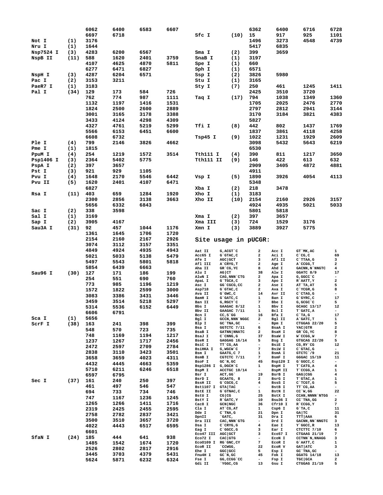|           |      | 6062 | 6400 | 6583 | 6607 |                               |                                        | 6362                           | 6400              | 6716                            | 6728                                                                                                                                                                                                                                                                                                                                                                                                                    |
|-----------|------|------|------|------|------|-------------------------------|----------------------------------------|--------------------------------|-------------------|---------------------------------|-------------------------------------------------------------------------------------------------------------------------------------------------------------------------------------------------------------------------------------------------------------------------------------------------------------------------------------------------------------------------------------------------------------------------|
|           |      | 6697 | 6718 |      |      | Sfc I                         | (10)                                   | 15                             | 917               | 925                             | 1101                                                                                                                                                                                                                                                                                                                                                                                                                    |
| Not I     | (1)  | 3176 |      |      |      |                               |                                        | 1496                           | 3273              | 4548                            | 4739                                                                                                                                                                                                                                                                                                                                                                                                                    |
| Nru I     | (1)  | 1644 |      |      |      |                               |                                        | 5417                           | 6835              |                                 |                                                                                                                                                                                                                                                                                                                                                                                                                         |
| Nsp7524 I | (3)  | 4283 | 6200 | 6567 |      | Sma I                         | (2)                                    | 399                            | 3659              |                                 |                                                                                                                                                                                                                                                                                                                                                                                                                         |
|           |      |      |      |      |      |                               |                                        | 3197                           |                   |                                 |                                                                                                                                                                                                                                                                                                                                                                                                                         |
| NspB II   | (11) | 588  | 1620 | 2401 | 3759 | SnaB I                        | (1)                                    |                                |                   |                                 |                                                                                                                                                                                                                                                                                                                                                                                                                         |
|           |      | 4107 | 4625 | 4870 | 5811 | Spe I                         | (1)                                    | 660                            |                   |                                 |                                                                                                                                                                                                                                                                                                                                                                                                                         |
|           |      | 6277 | 6471 | 6827 |      | Sph I                         | (1)                                    | 6571                           |                   |                                 |                                                                                                                                                                                                                                                                                                                                                                                                                         |
| NspH I    | (3)  | 4287 | 6204 | 6571 |      | Ssp I                         | (2)                                    | 3826                           | 5980              |                                 |                                                                                                                                                                                                                                                                                                                                                                                                                         |
| Pac I     | (2)  | 3153 | 3211 |      |      | Stu I                         | (1)                                    | 3165                           |                   |                                 |                                                                                                                                                                                                                                                                                                                                                                                                                         |
| PaeR7 I   | (1)  | 3183 |      |      |      | Sty I                         | (7)                                    | 250                            | 461               | 1245                            | 1411                                                                                                                                                                                                                                                                                                                                                                                                                    |
| Pal I     | (34) | 129  | 173  | 584  | 726  |                               |                                        | 2425                           | 3510              | 3720                            |                                                                                                                                                                                                                                                                                                                                                                                                                         |
|           |      | 762  | 774  | 987  | 1111 |                               | (17)                                   | 794                            | 1038              | 1349                            | 1360                                                                                                                                                                                                                                                                                                                                                                                                                    |
|           |      |      |      |      |      | Taq I                         |                                        |                                |                   |                                 |                                                                                                                                                                                                                                                                                                                                                                                                                         |
|           |      | 1132 | 1197 | 1416 | 1531 |                               |                                        | 1705                           | 2025              | 2476                            | 2770                                                                                                                                                                                                                                                                                                                                                                                                                    |
|           |      | 1824 | 2500 | 2600 | 2889 |                               |                                        | 2797                           | 2812              | 2941                            | 3144                                                                                                                                                                                                                                                                                                                                                                                                                    |
|           |      | 3001 | 3165 | 3178 | 3388 |                               |                                        | 3170                           | 3184              | 3821                            | 4383                                                                                                                                                                                                                                                                                                                                                                                                                    |
|           |      | 3433 | 4124 | 4298 | 4309 |                               |                                        | 5827                           |                   |                                 |                                                                                                                                                                                                                                                                                                                                                                                                                         |
|           |      | 4327 | 4761 | 5219 | 5299 | Tfi I                         | (8)                                    | 442                            | 802               | 1437                            | 1769                                                                                                                                                                                                                                                                                                                                                                                                                    |
|           |      | 5566 | 6153 | 6451 | 6600 |                               |                                        | 1837                           | 3861              | 4118                            | 4258                                                                                                                                                                                                                                                                                                                                                                                                                    |
|           |      | 6608 | 6732 |      |      | Tsp45 I                       | (9)                                    | 1022                           | 1231              | 1929                            | 2609                                                                                                                                                                                                                                                                                                                                                                                                                    |
| Ple I     | (4)  | 799  | 2146 | 3826 | 4662 |                               |                                        | 3098                           | 5432              | 5643                            | 6219                                                                                                                                                                                                                                                                                                                                                                                                                    |
|           |      |      |      |      |      |                               |                                        |                                |                   |                                 |                                                                                                                                                                                                                                                                                                                                                                                                                         |
| Pme I     | (1)  | 1815 |      |      |      |                               |                                        | 6530                           |                   |                                 |                                                                                                                                                                                                                                                                                                                                                                                                                         |
| PpuM I    | (4)  | 254  | 1219 | 1572 | 3514 | Tth111 I                      | (4)                                    | 390                            | 811               | 1217                            | 3650                                                                                                                                                                                                                                                                                                                                                                                                                    |
| Psp1406 I | (3)  | 2364 | 5402 | 5775 |      | Tth111 II                     | (9)                                    | 146                            | 422               | 613                             | 632                                                                                                                                                                                                                                                                                                                                                                                                                     |
| PspA I    | (2)  | 397  | 3657 |      |      |                               |                                        | 2909                           | 3405              | 4872                            | 4881                                                                                                                                                                                                                                                                                                                                                                                                                    |
| Pst I     | (3)  | 921  | 929  | 1105 |      |                               |                                        | 4911                           |                   |                                 |                                                                                                                                                                                                                                                                                                                                                                                                                         |
| Pvu I     | (4)  | 1648 | 2170 | 5546 | 6442 | Vsp I                         | (5)                                    | 1890                           | 3926              | 4054                            | 4113                                                                                                                                                                                                                                                                                                                                                                                                                    |
| Pvu II    | (5)  | 1620 | 2401 | 4107 | 6471 |                               |                                        | 5348                           |                   |                                 |                                                                                                                                                                                                                                                                                                                                                                                                                         |
|           |      |      |      |      |      |                               |                                        |                                |                   |                                 |                                                                                                                                                                                                                                                                                                                                                                                                                         |
|           |      | 6827 |      |      |      | Xba I                         | (2)                                    | 218                            | 3478              |                                 |                                                                                                                                                                                                                                                                                                                                                                                                                         |
| Rsa I     | (11) | 403  | 659  | 1284 | 1920 | Xho I                         | (1)                                    | 3183                           |                   |                                 |                                                                                                                                                                                                                                                                                                                                                                                                                         |
|           |      | 2300 | 2856 | 3138 | 3663 | Xho II                        | (10)                                   | 2154                           | 2160              | 2926                            | 3157                                                                                                                                                                                                                                                                                                                                                                                                                    |
|           |      | 5656 | 6332 | 6843 |      |                               |                                        | 4924                           | 4935              | 5021                            | 5033                                                                                                                                                                                                                                                                                                                                                                                                                    |
| Sac I     | (2)  | 338  | 3598 |      |      |                               |                                        | 5801                           | 5818              |                                 |                                                                                                                                                                                                                                                                                                                                                                                                                         |
| Sal I     | (1)  | 3169 |      |      |      | Xma I                         | (2)                                    | 397                            | 3657              |                                 |                                                                                                                                                                                                                                                                                                                                                                                                                         |
|           |      |      |      |      |      |                               |                                        |                                |                   |                                 |                                                                                                                                                                                                                                                                                                                                                                                                                         |
| Sap I     | (2)  | 3905 | 4167 |      |      | Xma III                       | (3)                                    | 724                            | 1529              | 3176                            |                                                                                                                                                                                                                                                                                                                                                                                                                         |
| Sau3A I   | (31) | 92   | 457  | 1044 | 1176 | Xmn I                         | (3)                                    | 3889                           | 3927              | 5775                            |                                                                                                                                                                                                                                                                                                                                                                                                                         |
|           |      | 1361 | 1645 | 1706 | 1720 |                               |                                        |                                |                   |                                 |                                                                                                                                                                                                                                                                                                                                                                                                                         |
|           |      | 2154 | 2160 | 2167 | 2926 |                               |                                        |                                |                   |                                 |                                                                                                                                                                                                                                                                                                                                                                                                                         |
|           |      |      |      |      |      |                               |                                        |                                |                   |                                 |                                                                                                                                                                                                                                                                                                                                                                                                                         |
|           |      | 3074 |      |      | 3351 |                               | Site usage in pUCGR:                   |                                |                   |                                 |                                                                                                                                                                                                                                                                                                                                                                                                                         |
|           |      |      | 3112 | 3157 |      |                               |                                        |                                |                   |                                 |                                                                                                                                                                                                                                                                                                                                                                                                                         |
|           |      | 4849 | 4924 | 4935 | 4943 | Aat II                        | G, ACGT `C                             | 2                              | Acc I             | GT MK, AC                       | 1                                                                                                                                                                                                                                                                                                                                                                                                                       |
|           |      | 5021 | 5033 | 5138 | 5479 | Acc65 I<br><b>Afe I</b>       | G`GTAC, C<br>AGC GCT                   | 2<br>3                         | Aci I<br>Afl II   | $C^{\dagger}CG, C$<br>C`TTAA,G  | 69<br>3                                                                                                                                                                                                                                                                                                                                                                                                                 |
|           |      | 5497 | 5543 | 5801 | 5818 | Afl III                       | A`CRYG, T                              | 2                              | Age I             | A CCGG, T                       | $\overline{\mathbf{2}}$                                                                                                                                                                                                                                                                                                                                                                                                 |
|           |      | 5854 | 6439 | 6663 |      | Aha II                        | GR`CG,YC                               | 8                              | Ahd I             | GACNN, N`NNGTC                  | $\overline{\mathbf{4}}$                                                                                                                                                                                                                                                                                                                                                                                                 |
| Sau96 I   | (30) | 127  | 171  | 186  | 199  | Alu I                         | AG CT                                  | 38                             | Alw I             | GGATC 8/9                       | 17                                                                                                                                                                                                                                                                                                                                                                                                                      |
|           |      | 254  | 551  | 690  | 760  | AlwN I                        | CAG, NNN `CTG                          | $\mathbf{2}$                   | Apa I             | G, GGCC `C                      | $\overline{\phantom{a}}$                                                                                                                                                                                                                                                                                                                                                                                                |
|           |      | 773  | 985  | 1196 | 1219 | ApaL I                        | G`TGCA, C                              | 3                              | Apo I             | R`AATT, Y                       | $\mathbf{2}% =\mathbf{2}+\mathbf{2}+\mathbf{3}+\mathbf{5}+\mathbf{5}+\mathbf{5}+\mathbf{6}+\mathbf{6}+\mathbf{5}+\mathbf{5}+\mathbf{6}+\mathbf{5}+\mathbf{6}+\mathbf{6}+\mathbf{5}+\mathbf{5}+\mathbf{6}+\mathbf{5}+\mathbf{6}+\mathbf{6}+\mathbf{5}+\mathbf{6}+\mathbf{6}+\mathbf{5}+\mathbf{6}+\mathbf{6}+\mathbf{6}+\mathbf{6}+\mathbf{6}+\mathbf{6}+\mathbf{6}+\mathbf{6}+\mathbf{6}+\mathbf{6}+\mathbf{6}+\mathbf$ |
|           |      |      |      |      |      | Asc I<br>Asp718               | GG `CGCG, CC<br>G`GTAC, C              | $\mathbf{2}$<br>2              | Ase I<br>Ava I    | AT`TA, AT<br>C`YCGR, G          | 5<br>8                                                                                                                                                                                                                                                                                                                                                                                                                  |
|           |      | 1572 | 1822 | 2599 | 3000 | Ava II                        | $G$ $GWC$ , $C$                        | 14                             | Avr II            | $C$ $CTAG$ , $G$                | $\overline{\phantom{a}}$                                                                                                                                                                                                                                                                                                                                                                                                |
|           |      | 3083 | 3386 | 3431 | 3446 | BamH I                        | G`GATC, C                              | 1                              | Ban I             | $G$ $GYRC$ , $C$                | 17                                                                                                                                                                                                                                                                                                                                                                                                                      |
|           |      | 3459 | 3514 | 5218 | 5297 | Ban II                        | G, RGCY `C                             | 7                              | Bbe I             | G, GCGC C                       | 5                                                                                                                                                                                                                                                                                                                                                                                                                       |
|           |      | 5314 | 5536 | 6152 | 6449 | Bbs I                         | GAAGAC 8/12                            | 1                              | Rhy T             | GCAGC 13/17                     | 12                                                                                                                                                                                                                                                                                                                                                                                                                      |
|           |      | 6606 | 6791 |      |      | Bbv II<br>Bcn I               | GAAGAC 7/11<br>$CC, S$ $G$             | 1<br>16                        | Bcl I<br>Bfa I    | T`GATC, A                       | $\blacksquare$<br>17                                                                                                                                                                                                                                                                                                                                                                                                    |
| Sca I     | (1)  | 5656 |      |      |      | Bgl I                         | GCCN, NNN NGGC                         | $\mathbf{2}$                   | Bgl II            | $C^T A$ , G<br>A GATC, T        | $\mathbf{1}$                                                                                                                                                                                                                                                                                                                                                                                                            |
| SCrF I    | (38) | 163  | 241  | 398  | 399  | Blp I                         | GC`TNA, GC                             | -                              | Bpm I             | CTGGAG 22/20                    | 5                                                                                                                                                                                                                                                                                                                                                                                                                       |
|           |      | 548  | 570  | 723  | 735  | Bsa I                         | GGTCTC 7/11                            | 6                              | BsaA I            | YAC GTR                         | $\overline{\mathbf{2}}$                                                                                                                                                                                                                                                                                                                                                                                                 |
|           |      | 748  | 1169 | 1194 | 1217 | <b>BsaB</b> I                 | <b>GATNN NNATC</b><br>$C$ $CMNG$ , $G$ | $\mathbf{2}$<br>37             | <b>BsaH I</b>     | GR CG, YC                       | 8                                                                                                                                                                                                                                                                                                                                                                                                                       |
|           |      |      |      |      |      | BsaJ I<br>BseR I              | GAGGAG 16/14                           | 5                              | BsaW I<br>Bsg I   | W`CCGG, W<br>GTGCAG 22/20       | 7<br>5                                                                                                                                                                                                                                                                                                                                                                                                                  |
|           |      | 1237 | 1267 | 1717 | 2456 | BsiC I                        | TT`CG, AA                              | ۰                              | BsiE I            | CG, RY CG                       | 12                                                                                                                                                                                                                                                                                                                                                                                                                      |
|           |      | 2472 | 2597 | 2709 | 2784 | BsiHKA I                      | G, WGCW`C                              | 7                              | BsiW I            | $C$ GTAC, G                     | $\blacksquare$                                                                                                                                                                                                                                                                                                                                                                                                          |
|           |      | 2838 | 3110 | 3423 | 3501 | Bsm I                         | GAATG, C 7                             | 1                              | BsmA I            | GTCTC 79                        | 21                                                                                                                                                                                                                                                                                                                                                                                                                      |
|           |      | 3658 | 3659 | 4023 | 4311 | BsmB I                        | CGTCTC 7/11                            | 7                              | BsmF I            | GGGAC 15/19                     | 11                                                                                                                                                                                                                                                                                                                                                                                                                      |
|           |      | 4432 | 4445 | 4663 | 5359 | BsoF I<br>Bsp1286 I G, DGCH C | GC`N,GC                                | 45<br>1                        | Bsp120 I          | G`GGCC, C                       | $\overline{\phantom{a}}$<br>$\overline{\mathbf{4}}$                                                                                                                                                                                                                                                                                                                                                                     |
|           |      | 5710 | 6211 | 6246 | 6518 | BspM I                        | ACCTGC 10/14                           | $\blacksquare$                 | BspH I<br>BspM II | T`CATG, A<br><b>T`CCGG, A</b>   | 1                                                                                                                                                                                                                                                                                                                                                                                                                       |
|           |      | 6597 | 6795 |      |      | Bsr I                         | ACT, GG                                | 19                             | BsrB I            | GAG CGG                         | $\overline{\mathbf{4}}$                                                                                                                                                                                                                                                                                                                                                                                                 |
| Sec I     | (37) | 161  | 240  | 250  | 397  | BsrD I                        | GCAATG, 8                              | $\mathbf{2}$                   | BsrG I            | T`GTAC, A                       | 1                                                                                                                                                                                                                                                                                                                                                                                                                       |
|           |      |      |      |      |      | <b>BssH II</b>                | G`CGCG, C                              | 4                              | BssS I            | C`TCGT, G                       | 5                                                                                                                                                                                                                                                                                                                                                                                                                       |
|           |      | 461  | 497  | 546  | 547  | Bst1107 I GTA TAC             |                                        | ۰                              | BstB I            | TT CG, AA                       | $\overline{\phantom{a}}$                                                                                                                                                                                                                                                                                                                                                                                                |
|           |      | 694  | 733  | 734  | 746  | BstE II<br>BstU I             | G`GTNAC, C<br>CG CG                    | 1<br>25                        | BstN I<br>BstX I  | $CC^W$ , GG<br>CCAN, NNNN `NTGG | 22<br>$\blacksquare$                                                                                                                                                                                                                                                                                                                                                                                                    |
|           |      | 747  | 1167 | 1236 | 1245 | BstY I                        | R GATC, Y                              | 10                             | Bsu36 I           | CC TNA, GG                      | 2                                                                                                                                                                                                                                                                                                                                                                                                                       |
|           |      | 1265 | 1266 | 1411 | 1716 | Cac8 I                        | GCN NGC                                | 36                             | Cfr10 I           | R CCGG, Y                       | 7                                                                                                                                                                                                                                                                                                                                                                                                                       |
|           |      | 2319 | 2425 | 2455 | 2595 | Cla I                         | AT CG, AT                              | $\mathbf{1}$                   | Csp6 I            | $G^T A, C$                      | 11                                                                                                                                                                                                                                                                                                                                                                                                                      |
|           |      | 2758 | 2782 | 2837 | 3421 | Dde I                         | $C$ TNA, $G$                           | 21                             | Dpn I             | GA TC                           | 31                                                                                                                                                                                                                                                                                                                                                                                                                      |
|           |      | 3500 | 3510 | 3657 | 3720 | DpnII                         | `GATC,                                 | 31<br>$\overline{\phantom{0}}$ | Dra I<br>Drd I    | <b>TTT AAA</b>                  | 6<br>3                                                                                                                                                                                                                                                                                                                                                                                                                  |
|           |      |      |      |      |      | Dra III<br>Dsa I              | CAC, NNN `GTG<br>C`CRYG, G             | $\overline{\mathbf{4}}$        | Eae I             | GACNN, NN `NNGTC<br>Y`GGCC, R   | 13                                                                                                                                                                                                                                                                                                                                                                                                                      |
|           |      | 4022 | 4443 | 6517 | 6595 | Eag I                         | C`GGCC,G                               | 3                              | Ear I             | CTCTTC 7/10                     | 6                                                                                                                                                                                                                                                                                                                                                                                                                       |
|           |      | 6601 |      |      |      | ECO47 III AGC GCT             |                                        | 3                              | Eco57 I           | CTGAAG 21/19                    | 7                                                                                                                                                                                                                                                                                                                                                                                                                       |
| SfaN I    | (24) | 185  | 444  | 641  | 938  | Eco72 I                       | $CAC$ GTG                              | ۰                              | ECON I            | CCTNN N, NNAGG                  | 3                                                                                                                                                                                                                                                                                                                                                                                                                       |
|           |      | 1485 | 1542 | 1674 | 1720 | EC00109 I                     | RG GNC, CY                             | 7                              | ECOR I            | G`AATT, C                       | 1                                                                                                                                                                                                                                                                                                                                                                                                                       |
|           |      | 2526 | 2802 | 2817 | 2916 | ECOR II<br>Ehe I              | CCWGG,<br>GGC GCC                      | 22<br>5                        | ECOR V<br>Esp I   | GAT ATC<br>GC TNA, GC           | 3<br>$\overline{\phantom{a}}$                                                                                                                                                                                                                                                                                                                                                                                           |
|           |      | 3445 | 3703 | 4379 | 5431 | Fnu4H I                       | $GC^N$ , $GC$                          | 45                             | Fok I             | GGATG 14/18                     | 13                                                                                                                                                                                                                                                                                                                                                                                                                      |
|           |      | 5624 | 5871 | 6232 | 6324 | Fse I<br>Gdi II               | GG, CCGG `CC<br>YGGC, CG               | ۰<br>13                        | Fsp I<br>Gsu I    | TGC GCA<br>CTGGAG 21/19         | 2<br>5                                                                                                                                                                                                                                                                                                                                                                                                                  |